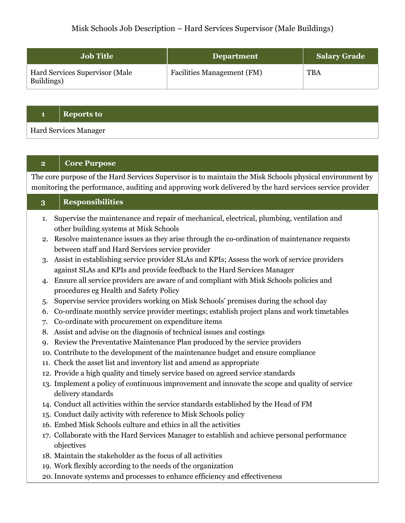## Misk Schools Job Description – Hard Services Supervisor (Male Buildings)

| <b>Job Title</b>                             | <b>Department</b>          | <b>Salary Grade</b> |
|----------------------------------------------|----------------------------|---------------------|
| Hard Services Supervisor (Male<br>Buildings) | Facilities Management (FM) | <b>TBA</b>          |

#### **1 Reports to**

Hard Services Manager

#### **2 Core Purpose**

The core purpose of the Hard Services Supervisor is to maintain the Misk Schools physical environment by monitoring the performance, auditing and approving work delivered by the hard services service provider

#### **3 Responsibilities**

- 1. Supervise the maintenance and repair of mechanical, electrical, plumbing, ventilation and other building systems at Misk Schools
- 2. Resolve maintenance issues as they arise through the co-ordination of maintenance requests between staff and Hard Services service provider
- 3. Assist in establishing service provider SLAs and KPIs; Assess the work of service providers against SLAs and KPIs and provide feedback to the Hard Services Manager
- 4. Ensure all service providers are aware of and compliant with Misk Schools policies and procedures eg Health and Safety Policy
- 5. Supervise service providers working on Misk Schools' premises during the school day
- 6. Co-ordinate monthly service provider meetings; establish project plans and work timetables
- 7. Co-ordinate with procurement on expenditure items
- 8. Assist and advise on the diagnosis of technical issues and costings
- 9. Review the Preventative Maintenance Plan produced by the service providers
- 10. Contribute to the development of the maintenance budget and ensure compliance
- 11. Check the asset list and inventory list and amend as appropriate
- 12. Provide a high quality and timely service based on agreed service standards
- 13. Implement a policy of continuous improvement and innovate the scope and quality of service delivery standards
- 14. Conduct all activities within the service standards established by the Head of FM
- 15. Conduct daily activity with reference to Misk Schools policy
- 16. Embed Misk Schools culture and ethics in all the activities
- 17. Collaborate with the Hard Services Manager to establish and achieve personal performance objectives
- 18. Maintain the stakeholder as the focus of all activities
- 19. Work flexibly according to the needs of the organization
- 20.Innovate systems and processes to enhance efficiency and effectiveness